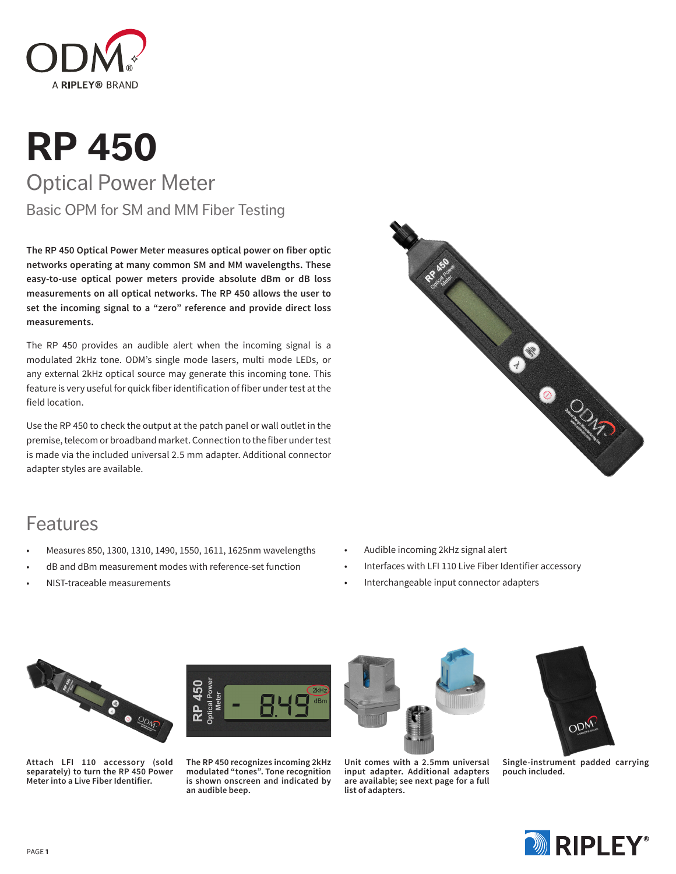

# **RP 450** Optical Power Meter Basic OPM for SM and MM Fiber Testing

**The RP 450 Optical Power Meter measures optical power on fiber optic networks operating at many common SM and MM wavelengths. These easy-to-use optical power meters provide absolute dBm or dB loss measurements on all optical networks. The RP 450 allows the user to set the incoming signal to a "zero" reference and provide direct loss measurements.**

The RP 450 provides an audible alert when the incoming signal is a modulated 2kHz tone. ODM's single mode lasers, multi mode LEDs, or any external 2kHz optical source may generate this incoming tone. This feature is very useful for quick fiber identification of fiber under test at the field location.

Use the RP 450 to check the output at the patch panel or wall outlet in the premise, telecom or broadband market. Connection to the fiber under test is made via the included universal 2.5 mm adapter. Additional connector adapter styles are available.



### Features

- Measures 850, 1300, 1310, 1490, 1550, 1611, 1625nm wavelengths
- dB and dBm measurement modes with reference-set function
- NIST-traceable measurements
- Audible incoming 2kHz signal alert
- Interfaces with LFI 110 Live Fiber Identifier accessory
- Interchangeable input connector adapters



**Attach LFI 110 accessory (sold separately) to turn the RP 450 Power Meter into a Live Fiber Identifier.**



**The RP 450 recognizes incoming 2kHz modulated "tones". Tone recognition is shown onscreen and indicated by an audible beep.**



**Unit comes with a 2.5mm universal input adapter. Additional adapters are available; see next page for a full list of adapters.**



**Single-instrument padded carrying pouch included.**